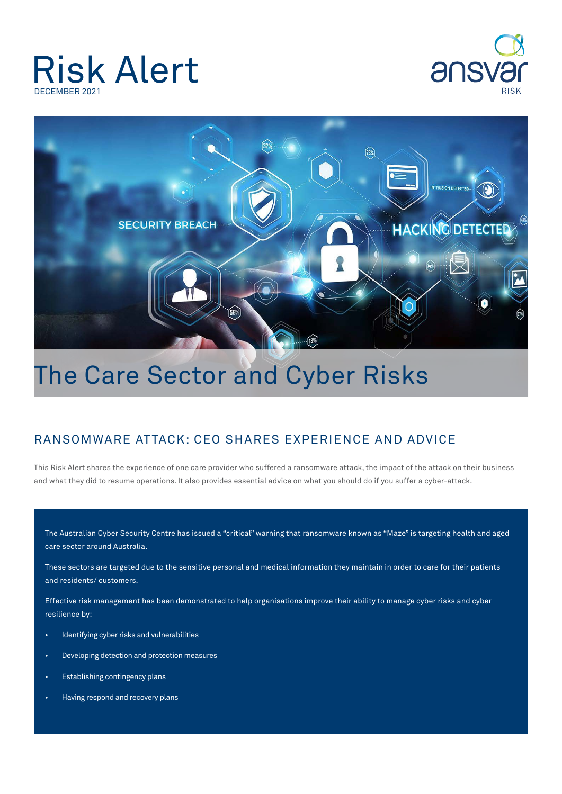## Risk Alert DECEMBER 2021





## The Care Sector and Cyber Risks

## Ransomware Attack: CEO shares experience and advice

This Risk Alert shares the experience of one care provider who suffered a ransomware attack, the impact of the attack on their business and what they did to resume operations. It also provides essential advice on what you should do if you suffer a cyber-attack.

The Australian Cyber Security Centre has issued a "critical" warning that ransomware known as "Maze" is targeting health and aged care sector around Australia.

These sectors are targeted due to the sensitive personal and medical information they maintain in order to care for their patients and residents/ customers.

Effective risk management has been demonstrated to help organisations improve their ability to manage cyber risks and cyber resilience by:

- Identifying cyber risks and vulnerabilities
- Developing detection and protection measures
- Establishing contingency plans
- Having respond and recovery plans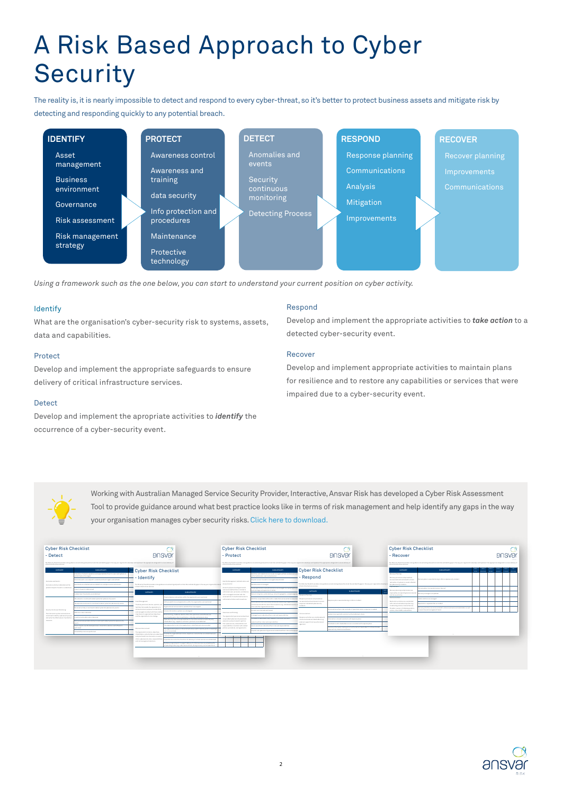# A Risk Based Approach to Cyber **Security**

The reality is, it is nearly impossible to detect and respond to every cyber-threat, so it's better to protect business assets and mitigate risk by detecting and responding quickly to any potential breach.



*Using a framework such as the one below, you can start to understand your current position on cyber activity.*

#### Identify

What are the organisation's cyber-security risk to systems, assets, data and capabilities.

#### Protect

Develop and implement the appropriate safeguards to ensure delivery of critical infrastructure services.

#### **Detect**

Develop and implement the apropriate activities to *identify* the occurrence of a cyber-security event.

#### Respond

Develop and implement the appropriate activities to *take action* to a detected cyber-security event.

#### Recover

Develop and implement appropriate activities to maintain plans for resilience and to restore any capabilities or services that were impaired due to a cyber-security event.



Working with Australian Managed Service Security Provider, Interactive, Ansvar Risk has developed a Cyber Risk Assessment Tool to provide guidance around what best practice looks like in terms of risk management and help identify any gaps in the way your organisation manages cyber security risks. [Click here to download.](https://platform-production-4d25d3r1xb-websitemediabucket-1o3v91a67vzyx.s3.amazonaws.com/uploads/2021/12/Cyber-Risk-Checklist-Contents_digital.pdf)



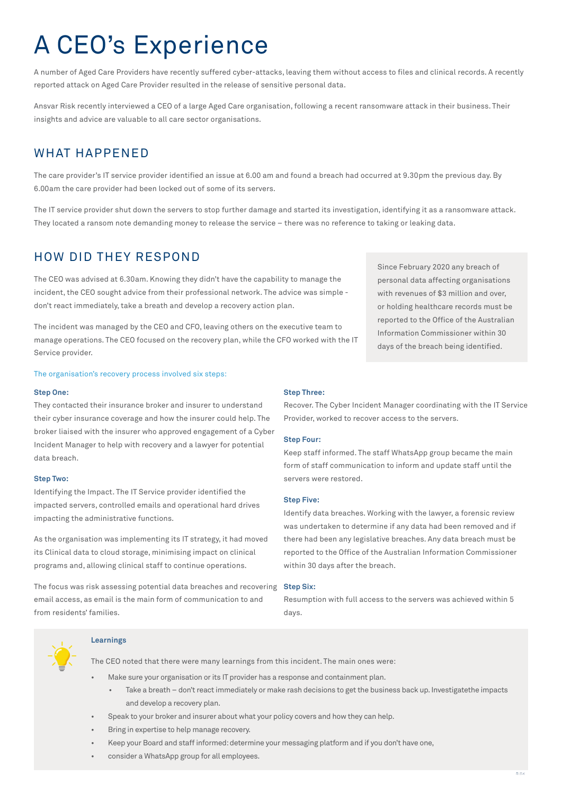# A CEO's Experience

A number of Aged Care Providers have recently suffered cyber-attacks, leaving them without access to files and clinical records. A recently reported attack on Aged Care Provider resulted in the release of sensitive personal data.

Ansvar Risk recently interviewed a CEO of a large Aged Care organisation, following a recent ransomware attack in their business. Their insights and advice are valuable to all care sector organisations.

### WHAT HAPPENED

The care provider's IT service provider identified an issue at 6.00 am and found a breach had occurred at 9.30pm the previous day. By 6.00am the care provider had been locked out of some of its servers.

The IT service provider shut down the servers to stop further damage and started its investigation, identifying it as a ransomware attack. They located a ransom note demanding money to release the service – there was no reference to taking or leaking data.

### hOW DID THEY RESPOND

The CEO was advised at 6.30am. Knowing they didn't have the capability to manage the incident, the CEO sought advice from their professional network. The advice was simple don't react immediately, take a breath and develop a recovery action plan.

The incident was managed by the CEO and CFO, leaving others on the executive team to manage operations. The CEO focused on the recovery plan, while the CFO worked with the IT Service provider.

The organisation's recovery process involved six steps:

#### **Step One:**

They contacted their insurance broker and insurer to understand their cyber insurance coverage and how the insurer could help. The broker liaised with the insurer who approved engagement of a Cyber Incident Manager to help with recovery and a lawyer for potential data breach.

#### **Step Two:**

Identifying the Impact. The IT Service provider identified the impacted servers, controlled emails and operational hard drives impacting the administrative functions.

As the organisation was implementing its IT strategy, it had moved its Clinical data to cloud storage, minimising impact on clinical programs and, allowing clinical staff to continue operations.

The focus was risk assessing potential data breaches and recovering email access, as email is the main form of communication to and from residents' families.

#### **Learnings**

The CEO noted that there were many learnings from this incident. The main ones were:

- Make sure your organisation or its IT provider has a response and containment plan.
	- Take a breath don't react immediately or make rash decisions to get the business back up. Investigatethe impacts and develop a recovery plan.
- Speak to your broker and insurer about what your policy covers and how they can help.
- Bring in expertise to help manage recovery.
- Keep your Board and staff informed: determine your messaging platform and if you don't have one,
- consider a WhatsApp group for all employees.

Since February 2020 any breach of personal data affecting organisations with revenues of \$3 million and over, or holding healthcare records must be reported to the Office of the Australian Information Commissioner within 30 days of the breach being identified.

#### **Step Three:**

Recover. The Cyber Incident Manager coordinating with the IT Service Provider, worked to recover access to the servers.

#### **Step Four:**

Keep staff informed. The staff WhatsApp group became the main form of staff communication to inform and update staff until the servers were restored.

#### **Step Five:**

Identify data breaches. Working with the lawyer, a forensic review was undertaken to determine if any data had been removed and if there had been any legislative breaches. Any data breach must be reported to the Office of the Australian Information Commissioner within 30 days after the breach.

#### **Step Six:**

Resumption with full access to the servers was achieved within 5 days.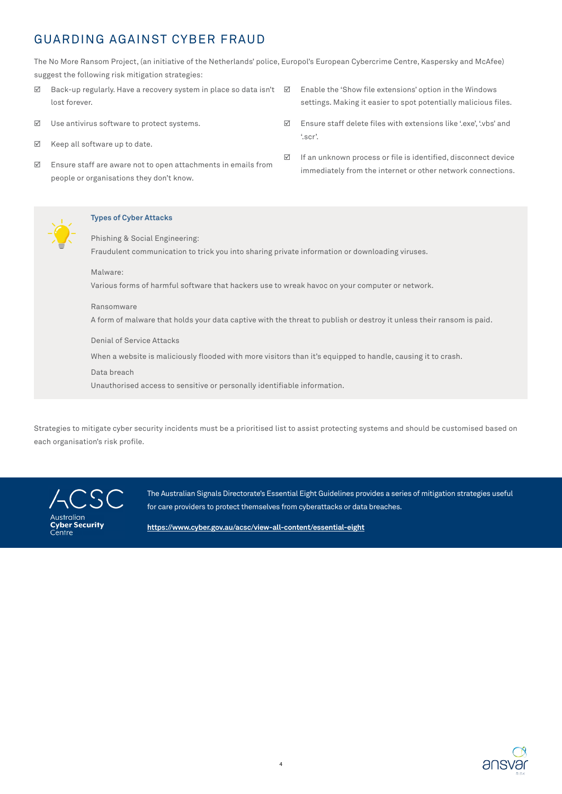### Guarding Against Cyber Fraud

The No More Ransom Project, (an initiative of the Netherlands' police, Europol's European Cybercrime Centre, Kaspersky and McAfee) suggest the following risk mitigation strategies:

- $\boxtimes$  Back-up regularly. Have a recovery system in place so data isn't  $\boxtimes$  Enable the 'Show file extensions' option in the Windows lost forever.
- $\boxtimes$  Use antivirus software to protect systems.
- $\boxtimes$  Keep all software up to date.
- $\boxtimes$  Ensure staff are aware not to open attachments in emails from people or organisations they don't know.
- settings. Making it easier to spot potentially malicious files.
- $\boxtimes$  Ensure staff delete files with extensions like '.exe', '.vbs' and '.scr'.
- $\boxtimes$  If an unknown process or file is identified, disconnect device immediately from the internet or other network connections.



#### **Types of Cyber Attacks**

Phishing & Social Engineering: Fraudulent communication to trick you into sharing private information or downloading viruses.

#### Malware:

Various forms of harmful software that hackers use to wreak havoc on your computer or network.

#### Ransomware

A form of malware that holds your data captive with the threat to publish or destroy it unless their ransom is paid.

#### Denial of Service Attacks

When a website is maliciously flooded with more visitors than it's equipped to handle, causing it to crash.

#### Data breach

Unauthorised access to sensitive or personally identifiable information.

Strategies to mitigate cyber security incidents must be a prioritised list to assist protecting systems and should be customised based on each organisation's risk profile.

Australian **Cyber Security** Centre

The Australian Signals Directorate's Essential Eight Guidelines provides a series of mitigation strategies useful for care providers to protect themselves from cyberattacks or data breaches.

**https://www.cyber.gov.au/acsc/view-all-content/essential-eight**

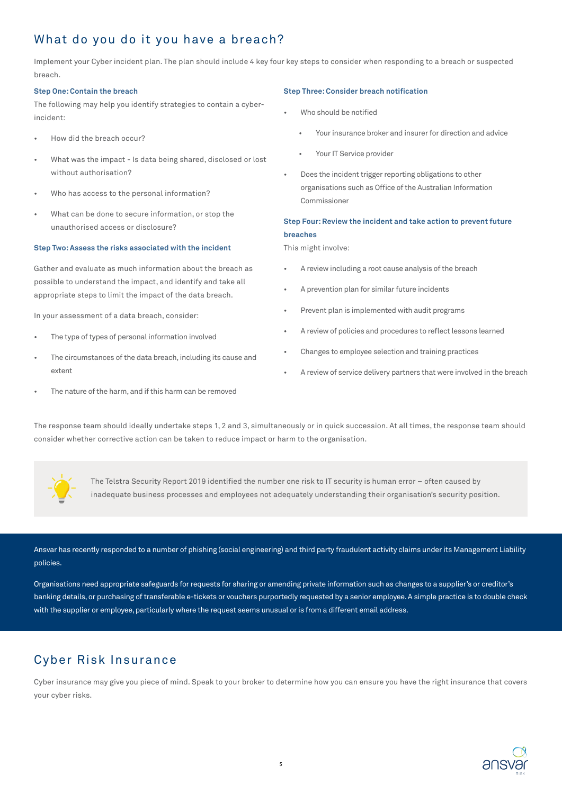### What do you do it you have a breach?

Implement your Cyber incident plan. The plan should include 4 key four key steps to consider when responding to a breach or suspected breach.

#### **Step One: Contain the breach**

The following may help you identify strategies to contain a cyberincident:

- How did the breach occur?
- What was the impact Is data being shared, disclosed or lost without authorisation?
- Who has access to the personal information?
- What can be done to secure information, or stop the unauthorised access or disclosure?

#### **Step Two: Assess the risks associated with the incident**

Gather and evaluate as much information about the breach as possible to understand the impact, and identify and take all appropriate steps to limit the impact of the data breach.

In your assessment of a data breach, consider:

- The type of types of personal information involved
- The circumstances of the data breach, including its cause and extent
- The nature of the harm, and if this harm can be removed

#### **Step Three: Consider breach notification**

- Who should be notified
	- Your insurance broker and insurer for direction and advice
	- Your IT Service provider
- Does the incident trigger reporting obligations to other organisations such as Office of the Australian Information Commissioner

### **Step Four: Review the incident and take action to prevent future breaches**

This might involve:

- A review including a root cause analysis of the breach
- A prevention plan for similar future incidents
- Prevent plan is implemented with audit programs
- A review of policies and procedures to reflect lessons learned
- Changes to employee selection and training practices
- A review of service delivery partners that were involved in the breach

The response team should ideally undertake steps 1, 2 and 3, simultaneously or in quick succession. At all times, the response team should consider whether corrective action can be taken to reduce impact or harm to the organisation.



The Telstra Security Report 2019 identified the number one risk to IT security is human error – often caused by inadequate business processes and employees not adequately understanding their organisation's security position.

Ansvar has recently responded to a number of phishing (social engineering) and third party fraudulent activity claims under its Management Liability policies.

Organisations need appropriate safeguards for requests for sharing or amending private information such as changes to a supplier's or creditor's banking details, or purchasing of transferable e-tickets or vouchers purportedly requested by a senior employee. A simple practice is to double check with the supplier or employee, particularly where the request seems unusual or is from a different email address.

## Cyber Risk Insurance

Cyber insurance may give you piece of mind. Speak to your broker to determine how you can ensure you have the right insurance that covers your cyber risks.